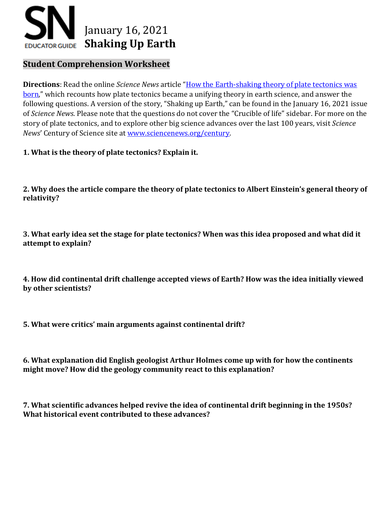

## **Student Comprehension Worksheet**

**Directions**: Read the online *Science News* article "How the Earth-shaking [theory of plate tectonics was](https://www.sciencenews.org/?p=3095156&preview=true)  [born,](https://www.sciencenews.org/?p=3095156&preview=true)" which recounts how plate tectonics became a unifying theory in earth science, and answer the following questions. A version of the story, "Shaking up Earth," can be found in the January 16, 2021 issue of *Science News*. Please note that the questions do not cover the "Crucible of life" sidebar. For more on the story of plate tectonics, and to explore other big science advances over the last 100 years, visit *Science News*' Century of Science site at [www.sciencenews.org/century.](http://www.sciencenews.org/century)

**1. What is the theory of plate tectonics? Explain it.**

**2. Why does the article compare the theory of plate tectonics to Albert Einstein's general theory of relativity?** 

**3. What early idea set the stage for plate tectonics? When was this idea proposed and what did it attempt to explain?** 

**4. How did continental drift challenge accepted views of Earth? How was the idea initially viewed by other scientists?** 

**5. What were critics' main arguments against continental drift?** 

**6. What explanation did English geologist Arthur Holmes come up with for how the continents might move? How did the geology community react to this explanation?**

**7. What scientific advances helped revive the idea of continental drift beginning in the 1950s? What historical event contributed to these advances?**